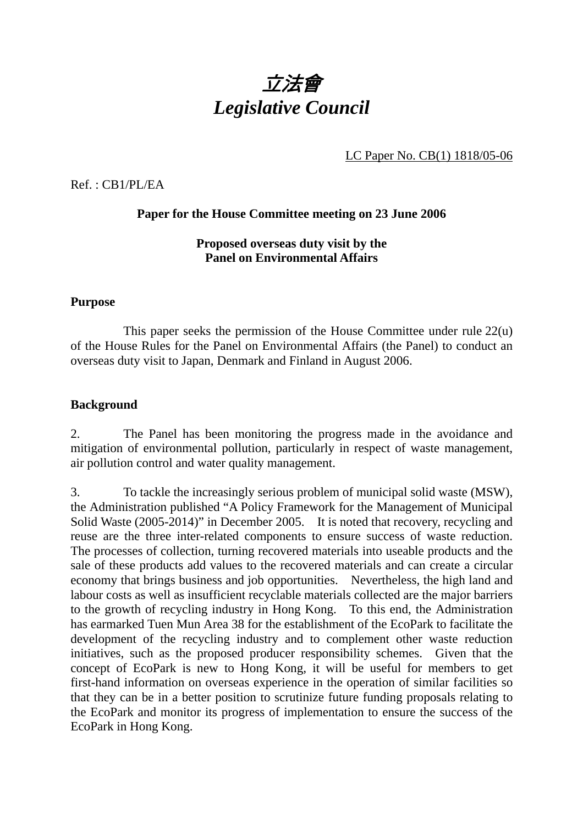

LC Paper No. CB(1) 1818/05-06

Ref. : CB1/PL/EA

## **Paper for the House Committee meeting on 23 June 2006**

## **Proposed overseas duty visit by the Panel on Environmental Affairs**

## **Purpose**

 This paper seeks the permission of the House Committee under rule 22(u) of the House Rules for the Panel on Environmental Affairs (the Panel) to conduct an overseas duty visit to Japan, Denmark and Finland in August 2006.

## **Background**

2. The Panel has been monitoring the progress made in the avoidance and mitigation of environmental pollution, particularly in respect of waste management, air pollution control and water quality management.

3. To tackle the increasingly serious problem of municipal solid waste (MSW), the Administration published "A Policy Framework for the Management of Municipal Solid Waste (2005-2014)" in December 2005. It is noted that recovery, recycling and reuse are the three inter-related components to ensure success of waste reduction. The processes of collection, turning recovered materials into useable products and the sale of these products add values to the recovered materials and can create a circular economy that brings business and job opportunities. Nevertheless, the high land and labour costs as well as insufficient recyclable materials collected are the major barriers to the growth of recycling industry in Hong Kong. To this end, the Administration has earmarked Tuen Mun Area 38 for the establishment of the EcoPark to facilitate the development of the recycling industry and to complement other waste reduction initiatives, such as the proposed producer responsibility schemes. Given that the concept of EcoPark is new to Hong Kong, it will be useful for members to get first-hand information on overseas experience in the operation of similar facilities so that they can be in a better position to scrutinize future funding proposals relating to the EcoPark and monitor its progress of implementation to ensure the success of the EcoPark in Hong Kong.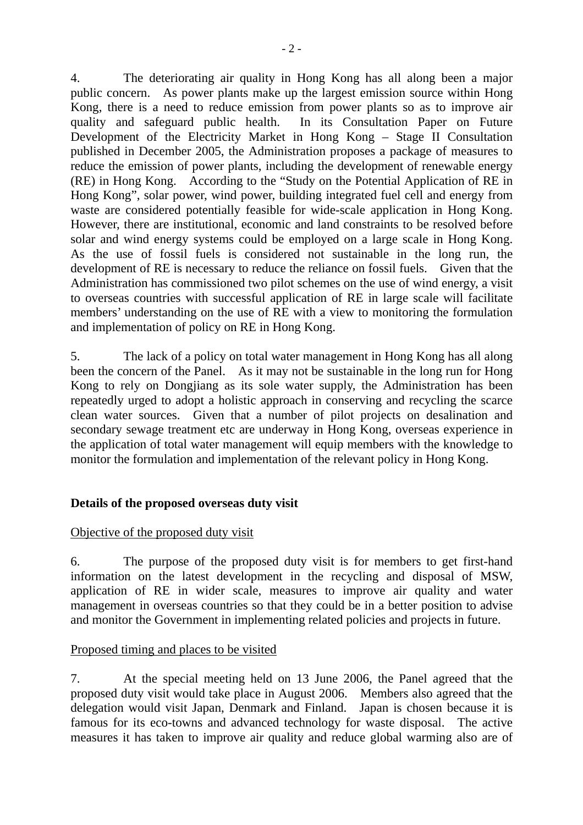4. The deteriorating air quality in Hong Kong has all along been a major public concern. As power plants make up the largest emission source within Hong Kong, there is a need to reduce emission from power plants so as to improve air quality and safeguard public health. In its Consultation Paper on Future Development of the Electricity Market in Hong Kong – Stage II Consultation published in December 2005, the Administration proposes a package of measures to reduce the emission of power plants, including the development of renewable energy (RE) in Hong Kong. According to the "Study on the Potential Application of RE in Hong Kong", solar power, wind power, building integrated fuel cell and energy from waste are considered potentially feasible for wide-scale application in Hong Kong. However, there are institutional, economic and land constraints to be resolved before solar and wind energy systems could be employed on a large scale in Hong Kong. As the use of fossil fuels is considered not sustainable in the long run, the development of RE is necessary to reduce the reliance on fossil fuels. Given that the Administration has commissioned two pilot schemes on the use of wind energy, a visit to overseas countries with successful application of RE in large scale will facilitate members' understanding on the use of RE with a view to monitoring the formulation and implementation of policy on RE in Hong Kong.

5. The lack of a policy on total water management in Hong Kong has all along been the concern of the Panel. As it may not be sustainable in the long run for Hong Kong to rely on Dongjiang as its sole water supply, the Administration has been repeatedly urged to adopt a holistic approach in conserving and recycling the scarce clean water sources. Given that a number of pilot projects on desalination and secondary sewage treatment etc are underway in Hong Kong, overseas experience in the application of total water management will equip members with the knowledge to monitor the formulation and implementation of the relevant policy in Hong Kong.

# **Details of the proposed overseas duty visit**

# Objective of the proposed duty visit

6. The purpose of the proposed duty visit is for members to get first-hand information on the latest development in the recycling and disposal of MSW, application of RE in wider scale, measures to improve air quality and water management in overseas countries so that they could be in a better position to advise and monitor the Government in implementing related policies and projects in future.

# Proposed timing and places to be visited

7. At the special meeting held on 13 June 2006, the Panel agreed that the proposed duty visit would take place in August 2006. Members also agreed that the delegation would visit Japan, Denmark and Finland. Japan is chosen because it is famous for its eco-towns and advanced technology for waste disposal. The active measures it has taken to improve air quality and reduce global warming also are of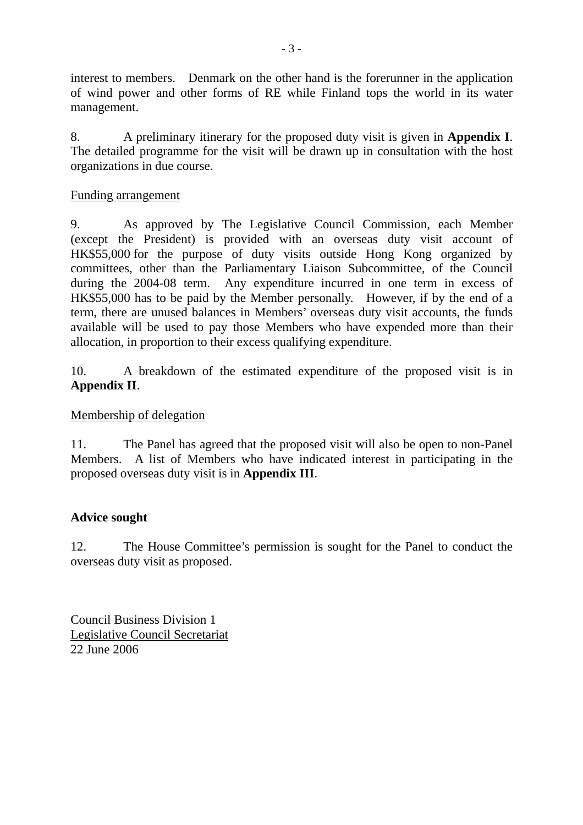interest to members. Denmark on the other hand is the forerunner in the application of wind power and other forms of RE while Finland tops the world in its water management.

8. A preliminary itinerary for the proposed duty visit is given in **Appendix I**. The detailed programme for the visit will be drawn up in consultation with the host organizations in due course.

# Funding arrangement

9. As approved by The Legislative Council Commission, each Member (except the President) is provided with an overseas duty visit account of HK\$55,000 for the purpose of duty visits outside Hong Kong organized by committees, other than the Parliamentary Liaison Subcommittee, of the Council during the 2004-08 term. Any expenditure incurred in one term in excess of HK\$55,000 has to be paid by the Member personally. However, if by the end of a term, there are unused balances in Members' overseas duty visit accounts, the funds available will be used to pay those Members who have expended more than their allocation, in proportion to their excess qualifying expenditure.

10. A breakdown of the estimated expenditure of the proposed visit is in **Appendix II**.

# Membership of delegation

11. The Panel has agreed that the proposed visit will also be open to non-Panel Members. A list of Members who have indicated interest in participating in the proposed overseas duty visit is in **Appendix III**.

# **Advice sought**

12. The House Committee's permission is sought for the Panel to conduct the overseas duty visit as proposed.

Council Business Division 1 Legislative Council Secretariat 22 June 2006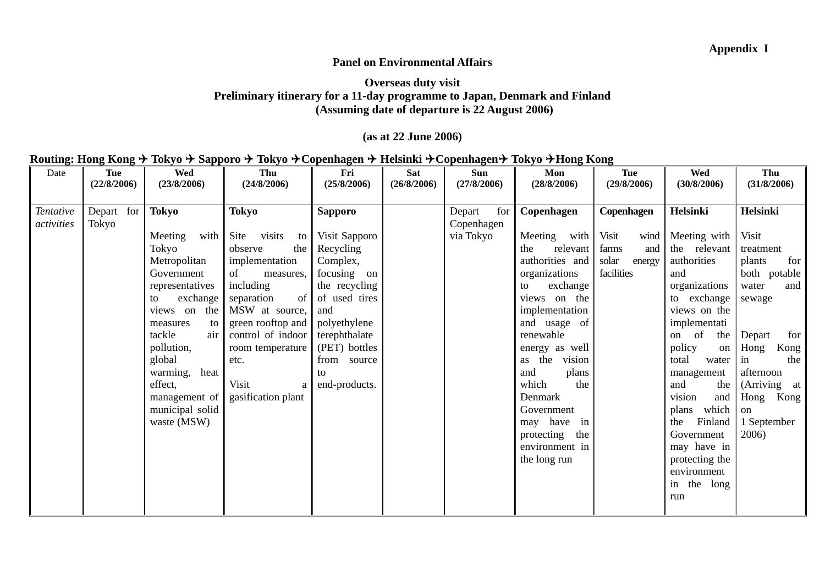#### **Panel on Environmental Affairs**

#### **Overseas duty visit Preliminary itinerary for a 11-day programme to Japan, Denmark and Finland (Assuming date of departure is 22 August 2006)**

### **(as at 22 June 2006)**

## **Routing: Hong Kong** ! **Tokyo** ! **Sapporo** ! **Tokyo** !**Copenhagen** ! **Helsinki** !**Copenhagen**! **Tokyo** !**Hong Kong**

| Date       | <b>Tue</b>  | Wed               | Thu                  | Fri            | <b>Sat</b>  | Sun           | Mon               | <b>Tue</b>      | <b>Wed</b>      | Thu             |
|------------|-------------|-------------------|----------------------|----------------|-------------|---------------|-------------------|-----------------|-----------------|-----------------|
|            | (22/8/2006) | (23/8/2006)       | (24/8/2006)          | (25/8/2006)    | (26/8/2006) | (27/8/2006)   | (28/8/2006)       | (29/8/2006)     | (30/8/2006)     | (31/8/2006)     |
|            |             |                   |                      |                |             |               |                   |                 |                 |                 |
| Tentative  | Depart for  | <b>Tokyo</b>      | <b>Tokyo</b>         | <b>Sapporo</b> |             | Depart<br>for | Copenhagen        | Copenhagen      | Helsinki        | <b>Helsinki</b> |
| activities | Tokyo       |                   |                      |                |             | Copenhagen    |                   |                 |                 |                 |
|            |             | with  <br>Meeting | Site<br>visits<br>to | Visit Sapporo  |             | via Tokyo     | Meeting<br>with   | Visit<br>wind   | Meeting with    | Visit           |
|            |             | Tokyo             | observe<br>the       | Recycling      |             |               | the<br>relevant   | farms<br>and    | the relevant    | treatment       |
|            |             | Metropolitan      | implementation       | Complex,       |             |               | authorities and   | solar<br>energy | authorities     | for<br>plants   |
|            |             | Government        | of<br>measures.      | focusing on    |             |               | organizations     | facilities      | and             | both potable    |
|            |             | representatives   | including            | the recycling  |             |               | exchange<br>to    |                 | organizations   | water<br>and    |
|            |             | exchange<br>to    | of<br>separation     | of used tires  |             |               | the<br>views on   |                 | to exchange     | sewage          |
|            |             | the<br>views on   | MSW at source,       | and            |             |               | implementation    |                 | views on the    |                 |
|            |             | measures<br>to    | green rooftop and    | polyethylene   |             |               | and usage of      |                 | implementati    |                 |
|            |             | tackle<br>air     | control of indoor    | terephthalate  |             |               | renewable         |                 | of<br>the<br>on | for<br>Depart   |
|            |             | pollution,        | room temperature     | (PET) bottles  |             |               | energy as well    |                 | policy<br>on    | Kong<br>Hong    |
|            |             | global            | etc.                 | from source    |             |               | as the<br>vision  |                 | total<br>water  | the<br>in       |
|            |             | warming,<br>heat  |                      | to             |             |               | plans<br>and      |                 | management      | afternoon       |
|            |             | effect,           | Visit<br>a           | end-products.  |             |               | which<br>the      |                 | the<br>and      | (Arriving at    |
|            |             | management of     | gasification plant   |                |             |               | Denmark           |                 | vision<br>and   | Hong Kong       |
|            |             | municipal solid   |                      |                |             |               | Government        |                 | which<br>plans  | on              |
|            |             | waste (MSW)       |                      |                |             |               | may have in       |                 | Finland<br>the  | 1 September     |
|            |             |                   |                      |                |             |               | protecting<br>the |                 | Government      | 2006)           |
|            |             |                   |                      |                |             |               | environment in    |                 | may have in     |                 |
|            |             |                   |                      |                |             |               | the long run      |                 | protecting the  |                 |
|            |             |                   |                      |                |             |               |                   |                 | environment     |                 |
|            |             |                   |                      |                |             |               |                   |                 | in the<br>long  |                 |
|            |             |                   |                      |                |             |               |                   |                 | run             |                 |
|            |             |                   |                      |                |             |               |                   |                 |                 |                 |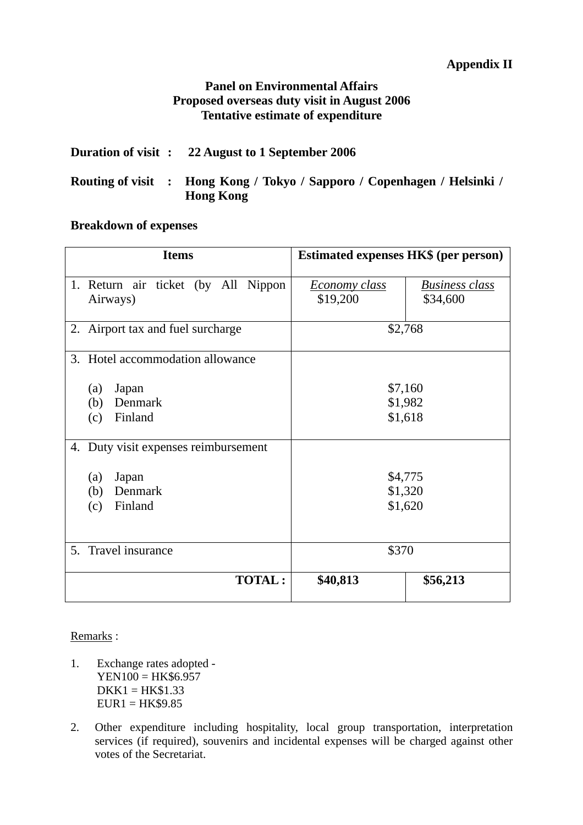# **Panel on Environmental Affairs Proposed overseas duty visit in August 2006 Tentative estimate of expenditure**

|  | Duration of visit : 22 August to 1 September 2006                                            |
|--|----------------------------------------------------------------------------------------------|
|  | Routing of visit : Hong Kong / Tokyo / Sapporo / Copenhagen / Helsinki /<br><b>Hong Kong</b> |

# **Breakdown of expenses**

| <b>Items</b>                                    | <b>Estimated expenses HK\$ (per person)</b>                    |  |  |  |
|-------------------------------------------------|----------------------------------------------------------------|--|--|--|
| 1. Return air ticket (by All Nippon<br>Airways) | <b>Business class</b><br>Economy class<br>\$19,200<br>\$34,600 |  |  |  |
| 2. Airport tax and fuel surcharge               | \$2,768                                                        |  |  |  |
| 3. Hotel accommodation allowance                |                                                                |  |  |  |
| Japan<br>(a)                                    | \$7,160                                                        |  |  |  |
| Denmark<br>(b)                                  | \$1,982                                                        |  |  |  |
| Finland<br>(c)                                  | \$1,618                                                        |  |  |  |
| 4. Duty visit expenses reimbursement            |                                                                |  |  |  |
| (a)<br>Japan                                    | \$4,775                                                        |  |  |  |
| Denmark<br>(b)                                  | \$1,320                                                        |  |  |  |
| Finland<br>(c)                                  | \$1,620                                                        |  |  |  |
| 5. Travel insurance                             | \$370                                                          |  |  |  |
| <b>TOTAL:</b>                                   | \$40,813<br>\$56,213                                           |  |  |  |

## Remarks :

- 1. Exchange rates adopted YEN100 = HK\$6.957  $DKK1 = HK$1.33$  $EURI = HK$9.85$
- 2. Other expenditure including hospitality, local group transportation, interpretation services (if required), souvenirs and incidental expenses will be charged against other votes of the Secretariat.